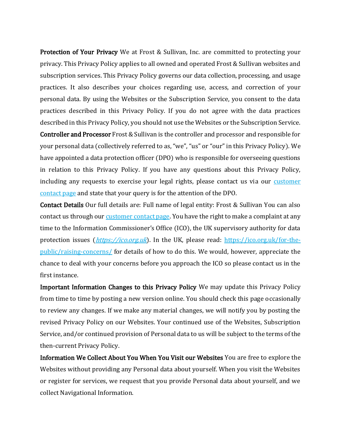Protection of Your Privacy We at Frost & Sullivan, Inc. are committed to protecting your privacy. This Privacy Policy applies to all owned and operated Frost & Sullivan websites and subscription services. This Privacy Policy governs our data collection, processing, and usage practices. It also describes your choices regarding use, access, and correction of your personal data. By using the Websites or the Subscription Service, you consent to the data practices described in this Privacy Policy. If you do not agree with the data practices described in this Privacy Policy, you should not use the Websites or the Subscription Service. Controller and Processor Frost & Sullivan is the controller and processor and responsible for your personal data (collectively referred to as, "we", "us" or "our" in this Privacy Policy). We have appointed a data protection officer (DPO) who is responsible for overseeing questions in relation to this Privacy Policy. If you have any questions about this Privacy Policy, including any requests to exercise your legal rights, please contact us via our customer [contact page](https://ww2.frost.com/contact-us/) and state that your query is for the attention of the DPO.

Contact Details Our full details are: Full name of legal entity: Frost & Sullivan You can also contact us through our **customer contact page**. You have the right to make a complaint at any time to the Information Commissioner's Office (ICO), the UK supervisory authority for data protection issues (*[https://ico.org.uk](https://ico.org.uk/)*). In the UK, please read: [https://ico.org.uk/for-the](https://ico.org.uk/for-the-public/raising-concerns/)[public/raising-concerns/](https://ico.org.uk/for-the-public/raising-concerns/) for details of how to do this. We would, however, appreciate the chance to deal with your concerns before you approach the ICO so please contact us in the first instance.

Important Information Changes to this Privacy Policy We may update this Privacy Policy from time to time by posting a new version online. You should check this page occasionally to review any changes. If we make any material changes, we will notify you by posting the revised Privacy Policy on our Websites. Your continued use of the Websites, Subscription Service, and/or continued provision of Personal data to us will be subject to the terms of the then-current Privacy Policy.

Information We Collect About You When You Visit our Websites You are free to explore the Websites without providing any Personal data about yourself. When you visit the Websites or register for services, we request that you provide Personal data about yourself, and we collect Navigational Information.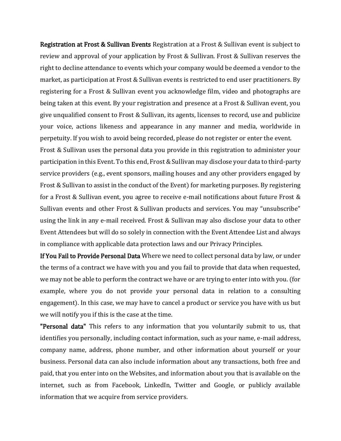Registration at Frost & Sullivan Events Registration at a Frost & Sullivan event is subject to review and approval of your application by Frost & Sullivan. Frost & Sullivan reserves the right to decline attendance to events which your company would be deemed a vendor to the market, as participation at Frost & Sullivan events is restricted to end user practitioners. By registering for a Frost & Sullivan event you acknowledge film, video and photographs are being taken at this event. By your registration and presence at a Frost & Sullivan event, you give unqualified consent to Frost & Sullivan, its agents, licenses to record, use and publicize your voice, actions likeness and appearance in any manner and media, worldwide in perpetuity. If you wish to avoid being recorded, please do not register or enter the event.

Frost & Sullivan uses the personal data you provide in this registration to administer your participation in this Event. To this end, Frost & Sullivan may disclose your data to third-party service providers (e.g., event sponsors, mailing houses and any other providers engaged by Frost & Sullivan to assist in the conduct of the Event) for marketing purposes. By registering for a Frost & Sullivan event, you agree to receive e-mail notifications about future Frost & Sullivan events and other Frost & Sullivan products and services. You may "unsubscribe" using the link in any e-mail received. Frost & Sullivan may also disclose your data to other Event Attendees but will do so solely in connection with the Event Attendee List and always in compliance with applicable data protection laws and our Privacy Principles.

If You Fail to Provide Personal Data Where we need to collect personal data by law, or under the terms of a contract we have with you and you fail to provide that data when requested, we may not be able to perform the contract we have or are trying to enter into with you. (for example, where you do not provide your personal data in relation to a consulting engagement). In this case, we may have to cancel a product or service you have with us but we will notify you if this is the case at the time.

"Personal data" This refers to any information that you voluntarily submit to us, that identifies you personally, including contact information, such as your name, e-mail address, company name, address, phone number, and other information about yourself or your business. Personal data can also include information about any transactions, both free and paid, that you enter into on the Websites, and information about you that is available on the internet, such as from Facebook, LinkedIn, Twitter and Google, or publicly available information that we acquire from service providers.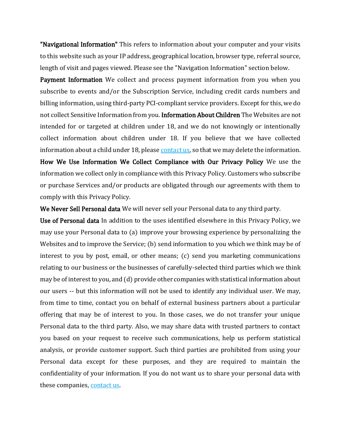"Navigational Information" This refers to information about your computer and your visits to this website such as your IP address, geographical location, browser type, referral source, length of visit and pages viewed. Please see the "Navigation Information" section below.

Payment Information We collect and process payment information from you when you subscribe to events and/or the Subscription Service, including credit cards numbers and billing information, using third-party PCI-compliant service providers. Except for this, we do not collect Sensitive Information from you. Information About Children The Websites are not intended for or targeted at children under 18, and we do not knowingly or intentionally collect information about children under 18. If you believe that we have collected information about a child under 18, please [contact us,](https://ww2.frost.com/contact-us/) so that we may delete the information. How We Use Information We Collect Compliance with Our Privacy Policy We use the information we collect only in compliance with this Privacy Policy. Customers who subscribe or purchase Services and/or products are obligated through our agreements with them to comply with this Privacy Policy.

We Never Sell Personal data We will never sell your Personal data to any third party.

Use of Personal data In addition to the uses identified elsewhere in this Privacy Policy, we may use your Personal data to (a) improve your browsing experience by personalizing the Websites and to improve the Service; (b) send information to you which we think may be of interest to you by post, email, or other means; (c) send you marketing communications relating to our business or the businesses of carefully-selected third parties which we think may be of interest to you, and (d) provide other companies with statistical information about our users -- but this information will not be used to identify any individual user. We may, from time to time, contact you on behalf of external business partners about a particular offering that may be of interest to you. In those cases, we do not transfer your unique Personal data to the third party. Also, we may share data with trusted partners to contact you based on your request to receive such communications, help us perform statistical analysis, or provide customer support. Such third parties are prohibited from using your Personal data except for these purposes, and they are required to maintain the confidentiality of your information. If you do not want us to share your personal data with these companies[, contact us.](https://ww2.frost.com/contact-us/)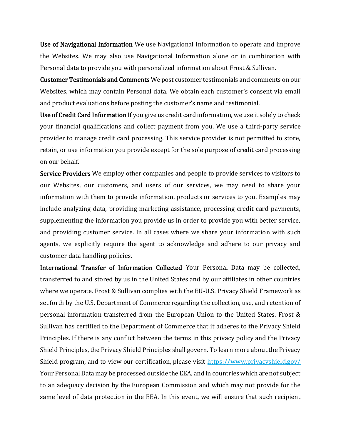Use of Navigational Information We use Navigational Information to operate and improve the Websites. We may also use Navigational Information alone or in combination with Personal data to provide you with personalized information about Frost & Sullivan.

Customer Testimonials and Comments We post customer testimonials and comments on our Websites, which may contain Personal data. We obtain each customer's consent via email and product evaluations before posting the customer's name and testimonial.

Use of Credit Card Information If you give us credit card information, we use it solely to check your financial qualifications and collect payment from you. We use a third-party service provider to manage credit card processing. This service provider is not permitted to store, retain, or use information you provide except for the sole purpose of credit card processing on our behalf.

Service Providers We employ other companies and people to provide services to visitors to our Websites, our customers, and users of our services, we may need to share your information with them to provide information, products or services to you. Examples may include analyzing data, providing marketing assistance, processing credit card payments, supplementing the information you provide us in order to provide you with better service, and providing customer service. In all cases where we share your information with such agents, we explicitly require the agent to acknowledge and adhere to our privacy and customer data handling policies.

International Transfer of Information Collected Your Personal Data may be collected, transferred to and stored by us in the United States and by our affiliates in other countries where we operate. Frost & Sullivan complies with the EU-U.S. Privacy Shield Framework as set forth by the U.S. Department of Commerce regarding the collection, use, and retention of personal information transferred from the European Union to the United States. Frost & Sullivan has certified to the Department of Commerce that it adheres to the Privacy Shield Principles. If there is any conflict between the terms in this privacy policy and the Privacy Shield Principles, the Privacy Shield Principles shall govern. To learn more about the Privacy Shield program, and to view our certification, please visit<https://www.privacyshield.gov/> Your Personal Data may be processed outside the EEA, and in countries which are not subject to an adequacy decision by the European Commission and which may not provide for the same level of data protection in the EEA. In this event, we will ensure that such recipient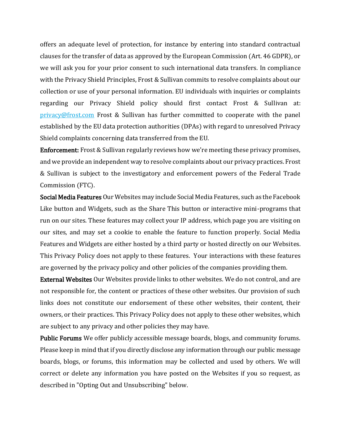offers an adequate level of protection, for instance by entering into standard contractual clauses for the transfer of data as approved by the European Commission (Art. 46 GDPR), or we will ask you for your prior consent to such international data transfers. In compliance with the Privacy Shield Principles, Frost & Sullivan commits to resolve complaints about our collection or use of your personal information. EU individuals with inquiries or complaints regarding our Privacy Shield policy should first contact Frost & Sullivan at: [privacy@frost.com](mailto:privacy@frost.com) Frost & Sullivan has further committed to cooperate with the panel established by the EU data protection authorities (DPAs) with regard to unresolved Privacy Shield complaints concerning data transferred from the EU.

Enforcement: Frost & Sullivan regularly reviews how we're meeting these privacy promises, and we provide an independent way to resolve complaints about our privacy practices. Frost & Sullivan is subject to the investigatory and enforcement powers of the Federal Trade Commission (FTC).

Social Media Features Our Websites may include Social Media Features, such as the Facebook Like button and Widgets, such as the Share This button or interactive mini-programs that run on our sites. These features may collect your IP address, which page you are visiting on our sites, and may set a cookie to enable the feature to function properly. Social Media Features and Widgets are either hosted by a third party or hosted directly on our Websites. This Privacy Policy does not apply to these features. Your interactions with these features are governed by the privacy policy and other policies of the companies providing them.

External Websites Our Websites provide links to other websites. We do not control, and are not responsible for, the content or practices of these other websites. Our provision of such links does not constitute our endorsement of these other websites, their content, their owners, or their practices. This Privacy Policy does not apply to these other websites, which are subject to any privacy and other policies they may have.

Public Forums We offer publicly accessible message boards, blogs, and community forums. Please keep in mind that if you directly disclose any information through our public message boards, blogs, or forums, this information may be collected and used by others. We will correct or delete any information you have posted on the Websites if you so request, as described in "Opting Out and Unsubscribing" below.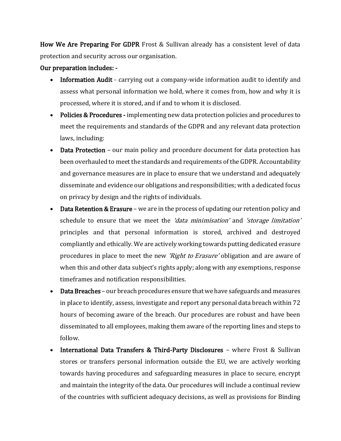How We Are Preparing For GDPR Frost & Sullivan already has a consistent level of data protection and security across our organisation.

## Our preparation includes: -

- Information Audit carrying out a company-wide information audit to identify and assess what personal information we hold, where it comes from, how and why it is processed, where it is stored, and if and to whom it is disclosed.
- Policies & Procedures implementing new data protection policies and procedures to meet the requirements and standards of the GDPR and any relevant data protection laws, including:
- Data Protection our main policy and procedure document for data protection has been overhauled to meet the standards and requirements of the GDPR. Accountability and governance measures are in place to ensure that we understand and adequately disseminate and evidence our obligations and responsibilities; with a dedicated focus on privacy by design and the rights of individuals.
- Data Retention & Erasure we are in the process of updating our retention policy and schedule to ensure that we meet the 'data minimisation' and 'storage limitation' principles and that personal information is stored, archived and destroyed compliantly and ethically. We are actively working towards putting dedicated erasure procedures in place to meet the new *'Right to Erasure'* obligation and are aware of when this and other data subject's rights apply; along with any exemptions, response timeframes and notification responsibilities.
- Data Breaches our breach procedures ensure that we have safeguards and measures in place to identify, assess, investigate and report any personal data breach within 72 hours of becoming aware of the breach. Our procedures are robust and have been disseminated to all employees, making them aware of the reporting lines and steps to follow.
- International Data Transfers & Third-Party Disclosures where Frost & Sullivan stores or transfers personal information outside the EU, we are actively working towards having procedures and safeguarding measures in place to secure, encrypt and maintain the integrity of the data. Our procedures will include a continual review of the countries with sufficient adequacy decisions, as well as provisions for Binding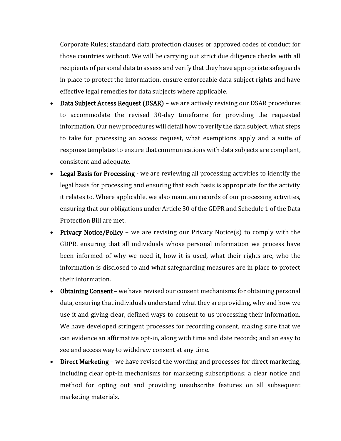Corporate Rules; standard data protection clauses or approved codes of conduct for those countries without. We will be carrying out strict due diligence checks with all recipients of personal data to assess and verify that they have appropriate safeguards in place to protect the information, ensure enforceable data subject rights and have effective legal remedies for data subjects where applicable.

- Data Subject Access Request (DSAR) we are actively revising our DSAR procedures to accommodate the revised 30-day timeframe for providing the requested information. Our new procedures will detail how to verify the data subject, what steps to take for processing an access request, what exemptions apply and a suite of response templates to ensure that communications with data subjects are compliant, consistent and adequate.
- Legal Basis for Processing we are reviewing all processing activities to identify the legal basis for processing and ensuring that each basis is appropriate for the activity it relates to. Where applicable, we also maintain records of our processing activities, ensuring that our obligations under Article 30 of the GDPR and Schedule 1 of the Data Protection Bill are met.
- Privacy Notice/Policy we are revising our Privacy Notice(s) to comply with the GDPR, ensuring that all individuals whose personal information we process have been informed of why we need it, how it is used, what their rights are, who the information is disclosed to and what safeguarding measures are in place to protect their information.
- Obtaining Consent we have revised our consent mechanisms for obtaining personal data, ensuring that individuals understand what they are providing, why and how we use it and giving clear, defined ways to consent to us processing their information. We have developed stringent processes for recording consent, making sure that we can evidence an affirmative opt-in, along with time and date records; and an easy to see and access way to withdraw consent at any time.
- Direct Marketing we have revised the wording and processes for direct marketing, including clear opt-in mechanisms for marketing subscriptions; a clear notice and method for opting out and providing unsubscribe features on all subsequent marketing materials.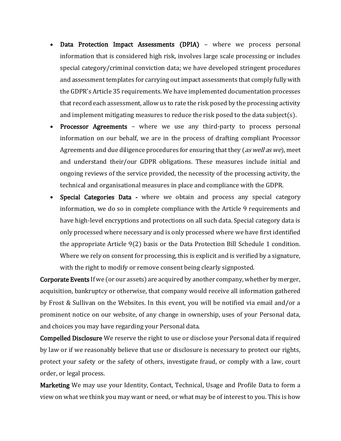- Data Protection Impact Assessments (DPIA) where we process personal information that is considered high risk, involves large scale processing or includes special category/criminal conviction data; we have developed stringent procedures and assessment templates for carrying out impact assessments that comply fully with the GDPR's Article 35 requirements. We have implemented documentation processes that record each assessment, allow us to rate the risk posed by the processing activity and implement mitigating measures to reduce the risk posed to the data subject(s).
- Processor Agreements where we use any third-party to process personal information on our behalf, we are in the process of drafting compliant Processor Agreements and due diligence procedures for ensuring that they (as well as we), meet and understand their/our GDPR obligations. These measures include initial and ongoing reviews of the service provided, the necessity of the processing activity, the technical and organisational measures in place and compliance with the GDPR.
- Special Categories Data where we obtain and process any special category information, we do so in complete compliance with the Article 9 requirements and have high-level encryptions and protections on all such data. Special category data is only processed where necessary and is only processed where we have first identified the appropriate Article 9(2) basis or the Data Protection Bill Schedule 1 condition. Where we rely on consent for processing, this is explicit and is verified by a signature, with the right to modify or remove consent being clearly signposted.

Corporate Events If we (or our assets) are acquired by another company, whether by merger, acquisition, bankruptcy or otherwise, that company would receive all information gathered by Frost & Sullivan on the Websites. In this event, you will be notified via email and/or a prominent notice on our website, of any change in ownership, uses of your Personal data, and choices you may have regarding your Personal data.

Compelled Disclosure We reserve the right to use or disclose your Personal data if required by law or if we reasonably believe that use or disclosure is necessary to protect our rights, protect your safety or the safety of others, investigate fraud, or comply with a law, court order, or legal process.

Marketing We may use your Identity, Contact, Technical, Usage and Profile Data to form a view on what we think you may want or need, or what may be of interest to you. This is how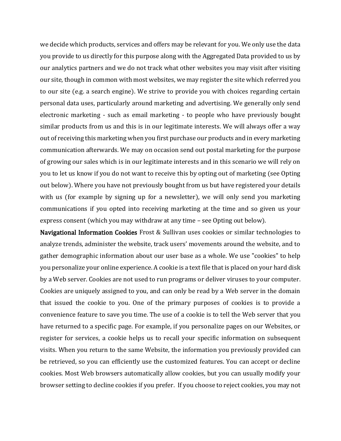we decide which products, services and offers may be relevant for you. We only use the data you provide to us directly for this purpose along with the Aggregated Data provided to us by our analytics partners and we do not track what other websites you may visit after visiting our site, though in common with most websites, we may register the site which referred you to our site (e.g. a search engine). We strive to provide you with choices regarding certain personal data uses, particularly around marketing and advertising. We generally only send electronic marketing - such as email marketing - to people who have previously bought similar products from us and this is in our legitimate interests. We will always offer a way out of receiving this marketing when you first purchase our products and in every marketing communication afterwards. We may on occasion send out postal marketing for the purpose of growing our sales which is in our legitimate interests and in this scenario we will rely on you to let us know if you do not want to receive this by opting out of marketing (see Opting out below). Where you have not previously bought from us but have registered your details with us (for example by signing up for a newsletter), we will only send you marketing communications if you opted into receiving marketing at the time and so given us your express consent (which you may withdraw at any time – see Opting out below).

Navigational Information Cookies Frost & Sullivan uses cookies or similar technologies to analyze trends, administer the website, track users' movements around the website, and to gather demographic information about our user base as a whole. We use "cookies" to help you personalize your online experience. A cookie is a text file that is placed on your hard disk by a Web server. Cookies are not used to run programs or deliver viruses to your computer. Cookies are uniquely assigned to you, and can only be read by a Web server in the domain that issued the cookie to you. One of the primary purposes of cookies is to provide a convenience feature to save you time. The use of a cookie is to tell the Web server that you have returned to a specific page. For example, if you personalize pages on our Websites, or register for services, a cookie helps us to recall your specific information on subsequent visits. When you return to the same Website, the information you previously provided can be retrieved, so you can efficiently use the customized features. You can accept or decline cookies. Most Web browsers automatically allow cookies, but you can usually modify your browser setting to decline cookies if you prefer. If you choose to reject cookies, you may not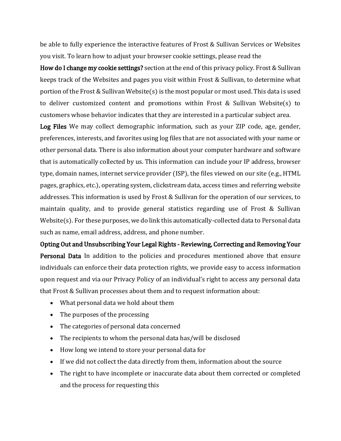be able to fully experience the interactive features of Frost & Sullivan Services or Websites you visit. To learn how to adjust your browser cookie settings, please read the

How do I change my cookie settings? section at the end of this privacy policy. Frost & Sullivan keeps track of the Websites and pages you visit within Frost & Sullivan, to determine what portion of the Frost & Sullivan Website(s) is the most popular or most used. This data is used to deliver customized content and promotions within Frost & Sullivan Website(s) to customers whose behavior indicates that they are interested in a particular subject area.

Log Files We may collect demographic information, such as your ZIP code, age, gender, preferences, interests, and favorites using log files that are not associated with your name or other personal data. There is also information about your computer hardware and software that is automatically collected by us. This information can include your IP address, browser type, domain names, internet service provider (ISP), the files viewed on our site (e.g., HTML pages, graphics, etc.), operating system, clickstream data, access times and referring website addresses. This information is used by Frost & Sullivan for the operation of our services, to maintain quality, and to provide general statistics regarding use of Frost & Sullivan Website(s). For these purposes, we do link this automatically-collected data to Personal data such as name, email address, address, and phone number.

Opting Out and Unsubscribing Your Legal Rights - Reviewing, Correcting and Removing Your Personal Data In addition to the policies and procedures mentioned above that ensure individuals can enforce their data protection rights, we provide easy to access information upon request and via our Privacy Policy of an individual's right to access any personal data that Frost & Sullivan processes about them and to request information about:

- What personal data we hold about them
- The purposes of the processing
- The categories of personal data concerned
- The recipients to whom the personal data has/will be disclosed
- How long we intend to store your personal data for
- If we did not collect the data directly from them, information about the source
- The right to have incomplete or inaccurate data about them corrected or completed and the process for requesting this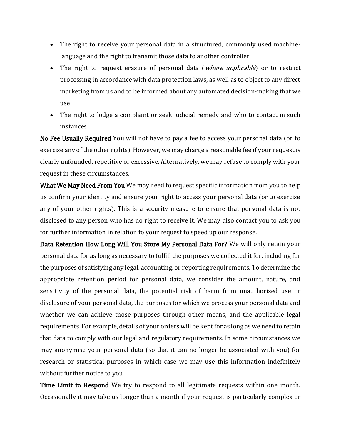- The right to receive your personal data in a structured, commonly used machinelanguage and the right to transmit those data to another controller
- The right to request erasure of personal data (*where applicable*) or to restrict processing in accordance with data protection laws, as well as to object to any direct marketing from us and to be informed about any automated decision-making that we use
- The right to lodge a complaint or seek judicial remedy and who to contact in such instances

No Fee Usually Required You will not have to pay a fee to access your personal data (or to exercise any of the other rights). However, we may charge a reasonable fee if your request is clearly unfounded, repetitive or excessive. Alternatively, we may refuse to comply with your request in these circumstances.

What We May Need From You We may need to request specific information from you to help us confirm your identity and ensure your right to access your personal data (or to exercise any of your other rights). This is a security measure to ensure that personal data is not disclosed to any person who has no right to receive it. We may also contact you to ask you for further information in relation to your request to speed up our response.

Data Retention How Long Will You Store My Personal Data For? We will only retain your personal data for as long as necessary to fulfill the purposes we collected it for, including for the purposes of satisfying any legal, accounting, or reporting requirements. To determine the appropriate retention period for personal data, we consider the amount, nature, and sensitivity of the personal data, the potential risk of harm from unauthorised use or disclosure of your personal data, the purposes for which we process your personal data and whether we can achieve those purposes through other means, and the applicable legal requirements. For example, details of your orders will be kept for as long as we need to retain that data to comply with our legal and regulatory requirements. In some circumstances we may anonymise your personal data (so that it can no longer be associated with you) for research or statistical purposes in which case we may use this information indefinitely without further notice to you.

Time Limit to Respond We try to respond to all legitimate requests within one month. Occasionally it may take us longer than a month if your request is particularly complex or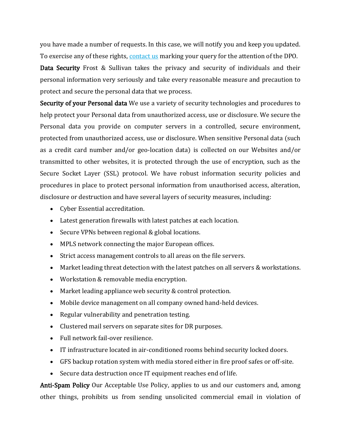you have made a number of requests. In this case, we will notify you and keep you updated. To exercise any of these rights, [contact us](https://ww2.frost.com/contact-us/) marking your query for the attention of the DPO.

Data Security Frost & Sullivan takes the privacy and security of individuals and their personal information very seriously and take every reasonable measure and precaution to protect and secure the personal data that we process.

Security of your Personal data We use a variety of security technologies and procedures to help protect your Personal data from unauthorized access, use or disclosure. We secure the Personal data you provide on computer servers in a controlled, secure environment, protected from unauthorized access, use or disclosure. When sensitive Personal data (such as a credit card number and/or geo-location data) is collected on our Websites and/or transmitted to other websites, it is protected through the use of encryption, such as the Secure Socket Layer (SSL) protocol. We have robust information security policies and procedures in place to protect personal information from unauthorised access, alteration, disclosure or destruction and have several layers of security measures, including:

- Cyber Essential accreditation.
- Latest generation firewalls with latest patches at each location.
- Secure VPNs between regional & global locations.
- MPLS network connecting the major European offices.
- Strict access management controls to all areas on the file servers.
- Market leading threat detection with the latest patches on all servers & workstations.
- Workstation & removable media encryption.
- Market leading appliance web security & control protection.
- Mobile device management on all company owned hand-held devices.
- Regular vulnerability and penetration testing.
- Clustered mail servers on separate sites for DR purposes.
- Full network fail-over resilience.
- IT infrastructure located in air-conditioned rooms behind security locked doors.
- GFS backup rotation system with media stored either in fire proof safes or off-site.
- Secure data destruction once IT equipment reaches end of life.

Anti-Spam Policy Our Acceptable Use Policy, applies to us and our customers and, among other things, prohibits us from sending unsolicited commercial email in violation of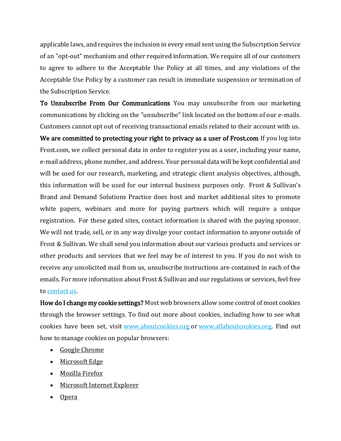applicable laws, and requires the inclusion in every email sent using the Subscription Service of an "opt-out" mechanism and other required information. We require all of our customers to agree to adhere to the Acceptable Use Policy at all times, and any violations of the Acceptable Use Policy by a customer can result in immediate suspension or termination of the Subscription Service.

To Unsubscribe From Our Communications You may unsubscribe from our marketing communications by clicking on the "unsubscribe" link located on the bottom of our e-mails. Customers cannot opt out of receiving transactional emails related to their account with us. We are committed to protecting your right to privacy as a user of Frost.com If you log into Frost.com, we collect personal data in order to register you as a user, including your name, e-mail address, phone number, and address. Your personal data will be kept confidential and will be used for our research, marketing, and strategic client analysis objectives, although, this information will be used for our internal business purposes only. Frost & Sullivan's Brand and Demand Solutions Practice does host and market additional sites to promote white papers, webinars and more for paying partners which will require a unique registration. For these gated sites, contact information is shared with the paying sponsor. We will not trade, sell, or in any way divulge your contact information to anyone outside of Frost & Sullivan. We shall send you information about our various products and services or other products and services that we feel may be of interest to you. If you do not wish to receive any unsolicited mail from us, unsubscribe instructions are contained in each of the emails. For more information about Frost & Sullivan and our regulations or services, feel free to [contact us.](https://ww2.frost.com/contact-us/)

How do I change my cookie settings? Most web browsers allow some control of most cookies through the browser settings. To find out more about cookies, including how to see what cookies have been set, visit [www.aboutcookies.org](http://www.aboutcookies.org/) or [www.allaboutcookies.org.](http://www.allaboutcookies.org/) Find out how to manage cookies on popular browsers:

- [Google Chrome](https://support.google.com/accounts/answer/61416?co=GENIE.Platform%3DDesktop&hl=en)
- [Microsoft Edge](https://privacy.microsoft.com/en-us/windows-10-microsoft-edge-and-privacy)
- [Mozilla Firefox](https://support.mozilla.org/en-US/kb/enable-and-disable-cookies-website-preferences)
- [Microsoft Internet Explorer](https://support.microsoft.com/en-gb/help/17442/windows-internet-explorer-delete-manage-cookies)
- [Opera](https://www.opera.com/help/tutorials/security/privacy/)